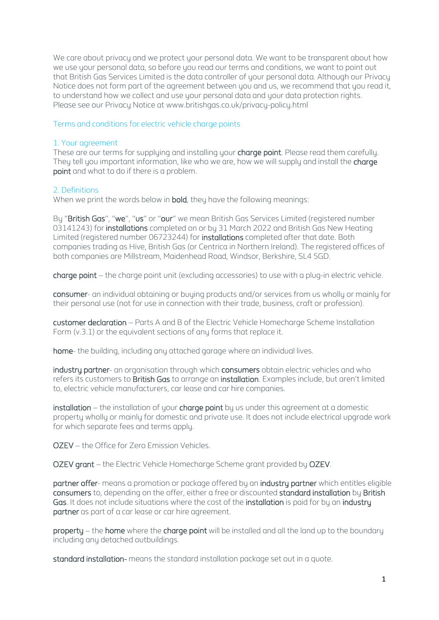We care about privacy and we protect your personal data. We want to be transparent about how we use your personal data, so before you read our terms and conditions, we want to point out that British Gas Services Limited is the data controller of your personal data. Although our Privacy Notice does not form part of the agreement between you and us, we recommend that you read it, to understand how we collect and use your personal data and your data protection rights. Please see our Privacy Notice at www.britishgas.co.uk/privacy-policy.html

# Terms and conditions for electric vehicle charge points

# 1. Your agreement

These are our terms for supplying and installing your charge point. Please read them carefully. They tell you important information, like who we are, how we will supply and install the **charge** point and what to do if there is a problem.

# 2. Definitions

When we print the words below in **bold**, they have the following meanings:

By "British Gas", "we", "us" or "our" we mean British Gas Services Limited (registered number 03141243) for installations completed on or by 31 March 2022 and British Gas New Heating Limited (registered number 06723244) for installations completed after that date. Both companies trading as Hive, British Gas (or Centrica in Northern Ireland). The registered offices of both companies are Millstream, Maidenhead Road, Windsor, Berkshire, SL4 5GD.

charge point – the charge point unit (excluding accessories) to use with a plug-in electric vehicle.

consumer- an individual obtaining or buying products and/or services from us wholly or mainly for their personal use (not for use in connection with their trade, business, craft or profession).

customer declaration – Parts A and B of the Electric Vehicle Homecharge Scheme Installation Form (v.3.1) or the equivalent sections of any forms that replace it.

home- the building, including any attached garage where an individual lives.

industry partner- an organisation through which consumers obtain electric vehicles and who refers its customers to British Gas to arrange an installation. Examples include, but aren't limited to, electric vehicle manufacturers, car lease and car hire companies.

installation – the installation of your charge point by us under this agreement at a domestic property wholly or mainly for domestic and private use. It does not include electrical upgrade work for which separate fees and terms apply.

OZEV – the Office for Zero Emission Vehicles.

OZEV grant – the Electric Vehicle Homecharge Scheme grant provided by OZEV.

partner offer- means a promotion or package offered by an industry partner which entitles eligible consumers to, depending on the offer, either a free or discounted standard installation by British Gas. It does not include situations where the cost of the installation is paid for by an industry partner as part of a car lease or car hire agreement.

property – the home where the charge point will be installed and all the land up to the boundary including any detached outbuildings.

standard installation- means the standard installation package set out in a quote.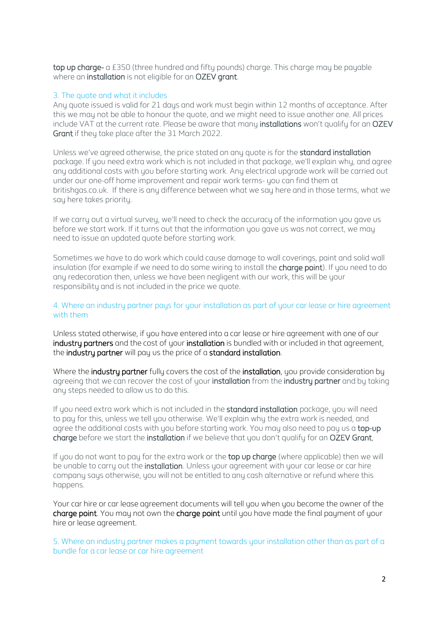top up charge- a £350 (three hundred and fifty pounds) charge. This charge may be payable where an installation is not eligible for an OZEV grant.

#### 3. The quote and what it includes

Any quote issued is valid for 21 days and work must begin within 12 months of acceptance. After this we may not be able to honour the quote, and we might need to issue another one. All prices include VAT at the current rate. Please be aware that many installations won't qualify for an OZEV Grant if they take place after the 31 March 2022.

Unless we've agreed otherwise, the price stated on any quote is for the standard installation package. If you need extra work which is not included in that package, we'll explain why, and agree any additional costs with you before starting work. Any electrical upgrade work will be carried out under our one-off home improvement and repair work terms- you can find them at britishgas.co.uk. If there is any difference between what we say here and in those terms, what we say here takes priority.

If we carry out a virtual survey, we'll need to check the accuracy of the information you gave us before we start work. If it turns out that the information you gave us was not correct, we may need to issue an updated quote before starting work.

Sometimes we have to do work which could cause damage to wall coverings, paint and solid wall insulation (for example if we need to do some wiring to install the **charge point**). If you need to do any redecoration then, unless we have been negligent with our work, this will be your responsibility and is not included in the price we quote.

### 4. Where an industry partner pays for your installation as part of your car lease or hire agreement with them

Unless stated otherwise, if you have entered into a car lease or hire agreement with one of our industru partners and the cost of your installation is bundled with or included in that agreement, the industry partner will pay us the price of a standard installation.

Where the industry partner fully covers the cost of the installation, you provide consideration by agreeing that we can recover the cost of your installation from the industry partner and by taking any steps needed to allow us to do this.

If you need extra work which is not included in the **standard installation** package, you will need to pay for this, unless we tell you otherwise. We'll explain why the extra work is needed, and agree the additional costs with you before starting work. You may also need to pay us a top-up charge before we start the installation if we believe that you don't qualify for an OZEV Grant,

If you do not want to pay for the extra work or the top up charge (where applicable) then we will be unable to carry out the installation. Unless your agreement with your car lease or car hire company says otherwise, you will not be entitled to any cash alternative or refund where this happens.

Your car hire or car lease agreement documents will tell you when you become the owner of the charge point. You may not own the charge point until you have made the final payment of your hire or lease agreement.

5. Where an industry partner makes a payment towards your installation other than as part of a bundle for a car lease or car hire agreement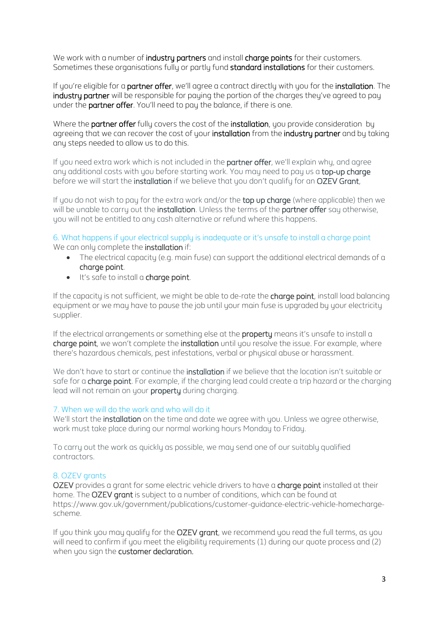We work with a number of industry partners and install charge points for their customers. Sometimes these organisations fully or partly fund standard installations for their customers.

If you're eligible for a **partner offer**, we'll agree a contract directly with you for the *installation*. The industry partner will be responsible for paying the portion of the charges they've agreed to pay under the **partner offer**. You'll need to pay the balance, if there is one.

Where the **partner offer** fully covers the cost of the **installation**, you provide consideration by agreeing that we can recover the cost of your installation from the industry partner and by taking any steps needed to allow us to do this.

If you need extra work which is not included in the partner offer, we'll explain why, and agree any additional costs with you before starting work. You may need to pay us a top-up charge before we will start the installation if we believe that you don't qualify for an OZEV Grant,

If you do not wish to pay for the extra work and/or the top up charge (where applicable) then we will be unable to carry out the installation. Unless the terms of the partner offer say otherwise, you will not be entitled to any cash alternative or refund where this happens.

6. What happens if your electrical supply is inadequate or it's unsafe to install a charge point We can only complete the **installation** if:

- The electrical capacity (e.g. main fuse) can support the additional electrical demands of a charge point.
- It's safe to install a charge point.

If the capacity is not sufficient, we might be able to de-rate the **charge point**, install load balancing equipment or we may have to pause the job until your main fuse is upgraded by your electricity supplier.

If the electrical arrangements or something else at the property means it's unsafe to install a charge point, we won't complete the installation until you resolve the issue. For example, where there's hazardous chemicals, pest infestations, verbal or physical abuse or harassment.

We don't have to start or continue the *installation* if we believe that the location isn't suitable or safe for a charge point. For example, if the charging lead could create a trip hazard or the charging lead will not remain on your property during charging.

# 7. When we will do the work and who will do it

We'll start the **installation** on the time and date we agree with you. Unless we agree otherwise, work must take place during our normal working hours Monday to Friday.

To carry out the work as quickly as possible, we may send one of our suitably qualified contractors.

# 8. OZEV grants

OZEV provides a grant for some electric vehicle drivers to have a charge point installed at their home. The OZEV grant is subject to a number of conditions, which can be found at [https://www.gov.uk/government/publications/customer-guidance-electric-vehicle-homecharge](https://www.gov.uk/government/publications/customer-guidance-electric-vehicle-homecharge-scheme)[scheme.](https://www.gov.uk/government/publications/customer-guidance-electric-vehicle-homecharge-scheme)

If you think you may qualify for the OZEV grant, we recommend you read the full terms, as you will need to confirm if you meet the eligibility requirements (1) during our quote process and (2) when you sign the **customer declaration.**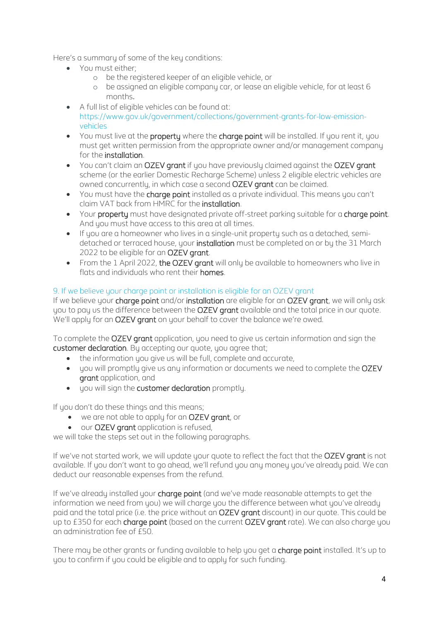Here's a summary of some of the key conditions:

- You must either;
	- o be the registered keeper of an eligible vehicle, or
	- o be assigned an eligible company car, or lease an eligible vehicle, for at least 6 months.
- A full list of eligible vehicles can be found at: [https://www.gov.uk/government/collections/government-grants-for-low-emission](https://www.gov.uk/government/collections/government-grants-for-low-emission-vehicles)[vehicles](https://www.gov.uk/government/collections/government-grants-for-low-emission-vehicles)
- You must live at the **property** where the **charge point** will be installed. If you rent it, you must get written permission from the appropriate owner and/or management company for the installation.
- You can't claim an OZEV grant if you have previously claimed against the OZEV grant scheme (or the earlier Domestic Recharge Scheme) unless 2 eligible electric vehicles are owned concurrently, in which case a second OZEV grant can be claimed.
- You must have the **charge point** installed as a private individual. This means you can't claim VAT back from HMRC for the installation.
- Your property must have designated private off-street parking suitable for a charge point. And you must have access to this area at all times.
- If you are a homeowner who lives in a single-unit property such as a detached, semidetached or terraced house, your installation must be completed on or by the 31 March 2022 to be eligible for an OZEV grant.
- From the 1 April 2022, the OZEV grant will only be available to homeowners who live in flats and individuals who rent their homes.

# 9. If we believe your charge point or installation is eligible for an OZEV grant

If we believe your charge point and/or installation are eligible for an OZEV grant, we will only ask you to pay us the difference between the OZEV grant available and the total price in our quote. We'll apply for an OZEV grant on your behalf to cover the balance we're owed.

To complete the OZEV grant application, you need to give us certain information and sign the customer declaration. By accepting our quote, you agree that;

- the information you give us will be full, complete and accurate,
- you will promptly give us any information or documents we need to complete the OZEV grant application, and
- you will sign the customer declaration promptly.

If you don't do these things and this means;

- we are not able to apply for an OZEV grant, or
- our OZEV grant application is refused,

we will take the steps set out in the following paragraphs.

If we've not started work, we will update your quote to reflect the fact that the OZEV grant is not available. If you don't want to go ahead, we'll refund you any money you've already paid. We can deduct our reasonable expenses from the refund.

If we've already installed your charge point (and we've made reasonable attempts to get the information we need from you) we will charge you the difference between what you've already paid and the total price (i.e. the price without an OZEV grant discount) in our quote. This could be up to £350 for each charge point (based on the current OZEV grant rate). We can also charge you an administration fee of £50.

There may be other grants or funding available to help you get a charge point installed. It's up to you to confirm if you could be eligible and to apply for such funding.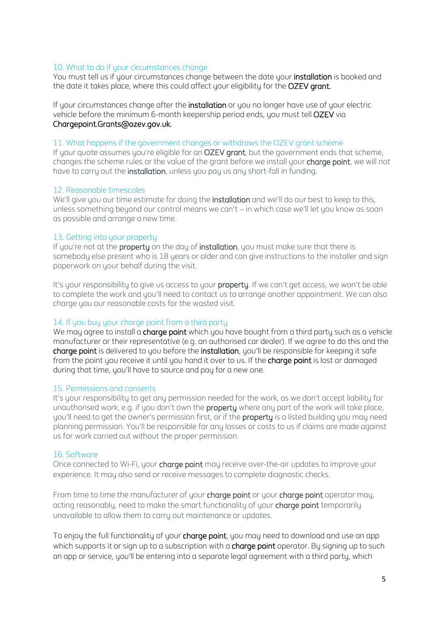### 10. What to do if your circumstances change

You must tell us if your circumstances change between the date your installation is booked and the date it takes place, where this could affect your eligibility for the **OZEV grant.** 

If your circumstances change after the installation or you no longer have use of your electric vehicle before the minimum 6-month keepership period ends, you must tell OZEV via Chargepoint.Grants@ozev.gov.uk.

#### 11. What happens if the government changes or withdraws the OZEV grant scheme

If your quote assumes you're eligible for an OZEV grant, but the government ends that scheme, changes the scheme rules or the value of the grant before we install your charge point, we will not have to carry out the **installation**, unless you pay us any short-fall in funding.

### 12. Reasonable timescales

We'll give you our time estimate for doing the *installation* and we'll do our best to keep to this, unless something beyond our control means we can't – in which case we'll let you know as soon as possible and arrange a new time.

### 13. Getting into your property

If you're not at the **property** on the day of **installation**, you must make sure that there is somebody else present who is 18 years or older and can give instructions to the installer and sign paperwork on your behalf during the visit.

It's your responsibility to give us access to your **property**. If we can't get access, we won't be able to complete the work and you'll need to contact us to arrange another appointment. We can also charge you our reasonable costs for the wasted visit.

### 14. If you buy your charge point from a third party

We may agree to install a charge point which you have bought from a third party such as a vehicle manufacturer or their representative (e.g. an authorised car dealer). If we agree to do this and the charge point is delivered to you before the installation, you'll be responsible for keeping it safe from the point you receive it until you hand it over to us. If the **charge point** is lost or damaged during that time, you'll have to source and pay for a new one.

### 15. Permissions and consents

It's your responsibility to get any permission needed for the work, as we don't accept liability for unauthorised work, e.g. if you don't own the **property** where any part of the work will take place, you'll need to get the owner's permission first, or if the property is a listed building you may need planning permission. You'll be responsible for any losses or costs to us if claims are made against us for work carried out without the proper permission.

#### 16. Software

Once connected to Wi-Fi, your **charge point** may receive over-the-air updates to improve your experience. It may also send or receive messages to complete diagnostic checks.

From time to time the manufacturer of your charge point or your charge point operator may, acting reasonably, need to make the smart functionality of your **charge point** temporarily unavailable to allow them to carry out maintenance or updates.

To enjoy the full functionality of your charge point, you may need to download and use an app which supports it or sign up to a subscription with a **charge point** operator. By signing up to such an app or service, you'll be entering into a separate legal agreement with a third party, which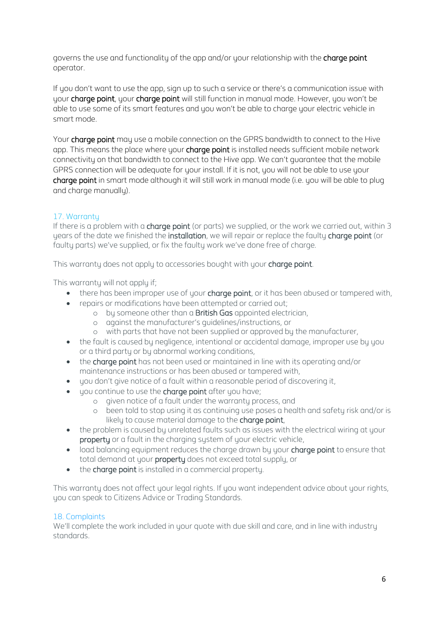governs the use and functionality of the app and/or your relationship with the charge point operator.

If you don't want to use the app, sign up to such a service or there's a communication issue with your charge point, your charge point will still function in manual mode. However, you won't be able to use some of its smart features and you won't be able to charge your electric vehicle in smart mode.

Your charge point may use a mobile connection on the GPRS bandwidth to connect to the Hive app. This means the place where your **charge point** is installed needs sufficient mobile network connectivity on that bandwidth to connect to the Hive app. We can't guarantee that the mobile GPRS connection will be adequate for your install. If it is not, you will not be able to use your charge point in smart mode although it will still work in manual mode (i.e. you will be able to plug and charge manuallu).

# 17. Warranty

If there is a problem with a charge point (or parts) we supplied, or the work we carried out, within 3 years of the date we finished the installation, we will repair or replace the faulty charge point (or faulty parts) we've supplied, or fix the faulty work we've done free of charge.

This warranty does not apply to accessories bought with your **charge point**.

This warranty will not apply if;

- there has been improper use of your charge point, or it has been abused or tampered with,
- repairs or modifications have been attempted or carried out;
	- o by someone other than a British Gas appointed electrician,
	- o against the manufacturer's guidelines/instructions, or
	- o with parts that have not been supplied or approved by the manufacturer,
- the fault is caused by negligence, intentional or accidental damage, improper use by you or a third party or by abnormal working conditions,
- the **charge point** has not been used or maintained in line with its operating and/or maintenance instructions or has been abused or tampered with,
- you don't give notice of a fault within a reasonable period of discovering it,
- you continue to use the **charge point** after you have;
	- o given notice of a fault under the warranty process, and
	- o been told to stop using it as continuing use poses a health and safety risk and/or is likely to cause material damage to the charge point,
- the problem is caused by unrelated faults such as issues with the electrical wiring at your property or a fault in the charging system of your electric vehicle,
- load balancing equipment reduces the charge drawn by your **charge point** to ensure that total demand at your property does not exceed total supply, or
- the charge point is installed in a commercial property.

This warranty does not affect your legal rights. If you want independent advice about your rights, you can speak to Citizens Advice or Trading Standards.

# 18. Complaints

We'll complete the work included in your quote with due skill and care, and in line with industry standards.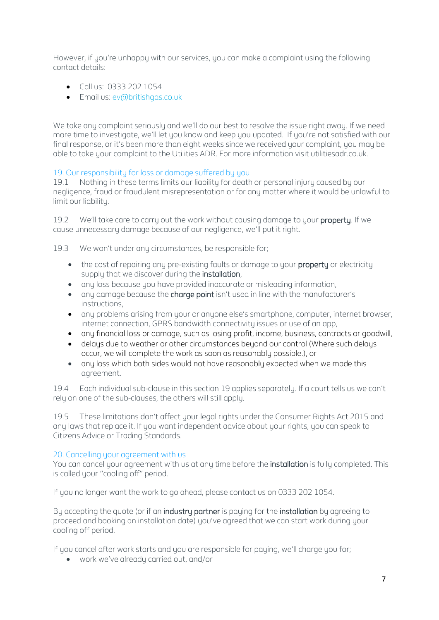However, if you're unhappy with our services, you can make a complaint using the following contact details:

- Call us: 0333 202 1054
- Email us: [ev@britishgas.co.uk](mailto:ev@britishgas.co.uk)

We take any complaint seriously and we'll do our best to resolve the issue right away. If we need more time to investigate, we'll let you know and keep you updated. If you're not satisfied with our final response, or it's been more than eight weeks since we received your complaint, you may be able to take your complaint to the Utilities ADR. For more information visit utilitiesadr.co.uk.

# 19. Our responsibility for loss or damage suffered by you

19.1 Nothing in these terms limits our liability for death or personal injury caused by our negligence, fraud or fraudulent misrepresentation or for any matter where it would be unlawful to limit our liability.

19.2 We'll take care to carry out the work without causing damage to your property. If we cause unnecessary damage because of our negligence, we'll put it right.

19.3 We won't under any circumstances, be responsible for;

- the cost of repairing any pre-existing faults or damage to your **property** or electricity supply that we discover during the installation,
- any loss because you have provided inaccurate or misleading information,
- any damage because the **charge point** isn't used in line with the manufacturer's instructions,
- any problems arising from your or anyone else's smartphone, computer, internet browser, internet connection, GPRS bandwidth connectivity issues or use of an app,
- any financial loss or damage, such as losing profit, income, business, contracts or goodwill,
- delays due to weather or other circumstances beyond our control (Where such delays occur, we will complete the work as soon as reasonably possible.), or
- any loss which both sides would not have reasonably expected when we made this agreement.

19.4 Each individual sub-clause in this section 19 applies separately. If a court tells us we can't rely on one of the sub-clauses, the others will still apply.

19.5 These limitations don't affect your legal rights under the Consumer Rights Act 2015 and any laws that replace it. If you want independent advice about your rights, you can speak to Citizens Advice or Trading Standards.

# 20. Cancelling your agreement with us

You can cancel your agreement with us at any time before the **installation** is fully completed. This is called your "cooling off" period.

If you no longer want the work to go ahead, please contact us on 0333 202 1054.

By accepting the quote (or if an industry partner is paying for the installation by agreeing to proceed and booking an installation date) you've agreed that we can start work during your cooling off period.

If you cancel after work starts and you are responsible for paying, we'll charge you for;

• work we've already carried out, and/or